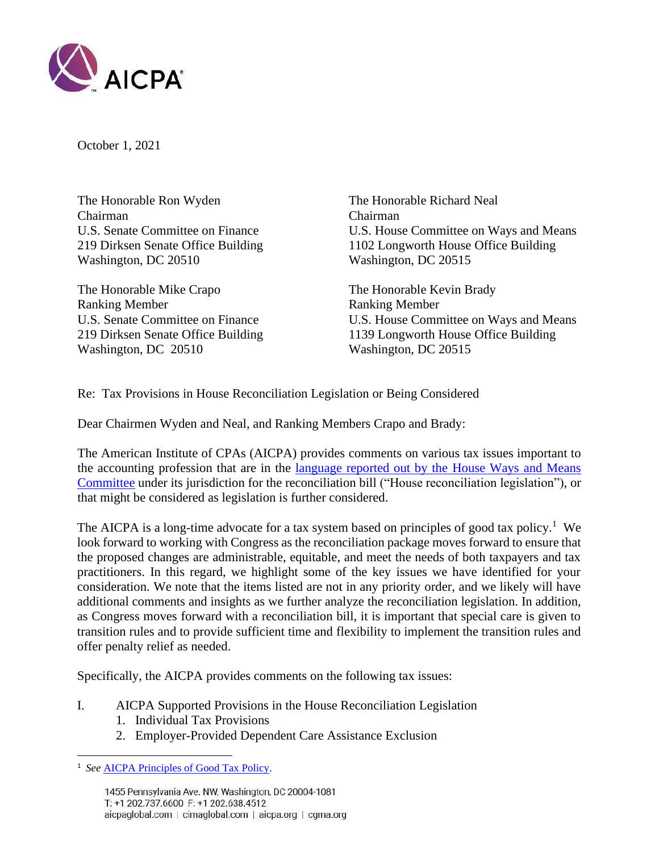

October 1, 2021

The Honorable Ron Wyden The Honorable Richard Neal Chairman Chairman Washington, DC 20510 Washington, DC 20515

The Honorable Mike Crapo The Honorable Kevin Brady Ranking Member Ranking Member Washington, DC 20510 Washington, DC 20515

U.S. Senate Committee on Finance U.S. House Committee on Ways and Means 219 Dirksen Senate Office Building 1102 Longworth House Office Building

U.S. Senate Committee on Finance U.S. House Committee on Ways and Means 219 Dirksen Senate Office Building 1139 Longworth House Office Building

Re: Tax Provisions in House Reconciliation Legislation or Being Considered

Dear Chairmen Wyden and Neal, and Ranking Members Crapo and Brady:

The American Institute of CPAs (AICPA) provides comments on various tax issues important to the accounting profession that are in the [language reported out by the House](https://waysandmeans.house.gov/sites/democrats.waysandmeans.house.gov/files/documents/NEAL_032_xml.pdf) Ways and Means [Committee](https://waysandmeans.house.gov/sites/democrats.waysandmeans.house.gov/files/documents/NEAL_032_xml.pdf) under its jurisdiction for the reconciliation bill ("House reconciliation legislation"), or that might be considered as legislation is further considered.

The AICPA is a long-time advocate for a tax system based on principles of good tax policy.<sup>1</sup> We look forward to working with Congress as the reconciliation package moves forward to ensure that the proposed changes are administrable, equitable, and meet the needs of both taxpayers and tax practitioners. In this regard, we highlight some of the key issues we have identified for your consideration. We note that the items listed are not in any priority order, and we likely will have additional comments and insights as we further analyze the reconciliation legislation. In addition, as Congress moves forward with a reconciliation bill, it is important that special care is given to transition rules and to provide sufficient time and flexibility to implement the transition rules and offer penalty relief as needed.

Specifically, the AICPA provides comments on the following tax issues:

- I. AICPA Supported Provisions in the House Reconciliation Legislation
	- 1. Individual Tax Provisions
	- 2. Employer-Provided Dependent Care Assistance Exclusion

<sup>&</sup>lt;sup>1</sup> See **AICPA Principles of Good Tax Policy**.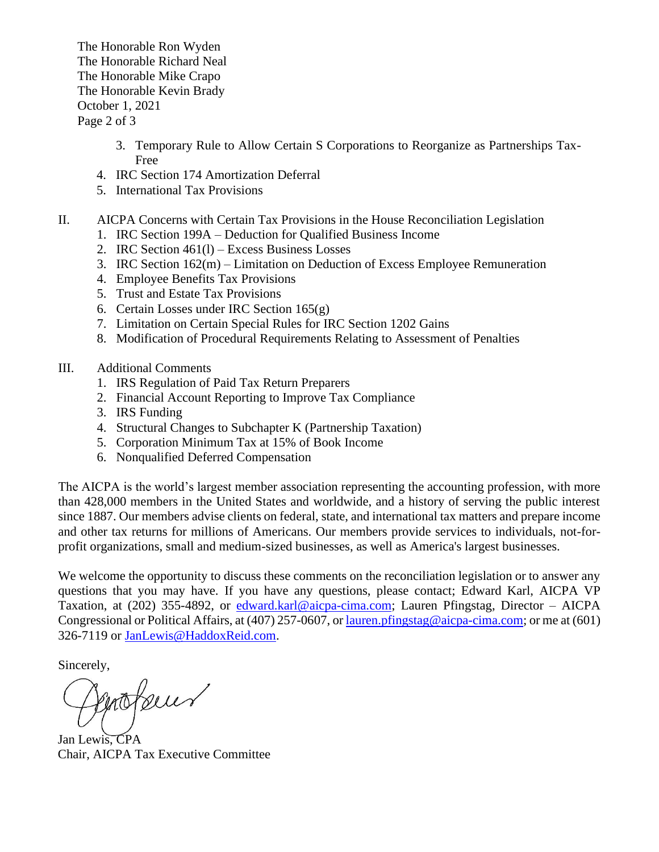The Honorable Ron Wyden The Honorable Richard Neal The Honorable Mike Crapo The Honorable Kevin Brady October 1, 2021 Page 2 of 3

- 3. Temporary Rule to Allow Certain S Corporations to Reorganize as Partnerships Tax-Free
- 4. IRC Section 174 Amortization Deferral
- 5. International Tax Provisions
- II. AICPA Concerns with Certain Tax Provisions in the House Reconciliation Legislation
	- 1. IRC Section 199A Deduction for Qualified Business Income
	- 2. IRC Section 461(l) Excess Business Losses
	- 3. IRC Section 162(m) Limitation on Deduction of Excess Employee Remuneration
	- 4. Employee Benefits Tax Provisions
	- 5. Trust and Estate Tax Provisions
	- 6. Certain Losses under IRC Section 165(g)
	- 7. Limitation on Certain Special Rules for IRC Section 1202 Gains
	- 8. Modification of Procedural Requirements Relating to Assessment of Penalties
- III. Additional Comments
	- 1. IRS Regulation of Paid Tax Return Preparers
	- 2. Financial Account Reporting to Improve Tax Compliance
	- 3. IRS Funding
	- 4. Structural Changes to Subchapter K (Partnership Taxation)
	- 5. Corporation Minimum Tax at 15% of Book Income
	- 6. Nonqualified Deferred Compensation

The AICPA is the world's largest member association representing the accounting profession, with more than 428,000 members in the United States and worldwide, and a history of serving the public interest since 1887. Our members advise clients on federal, state, and international tax matters and prepare income and other tax returns for millions of Americans. Our members provide services to individuals, not-forprofit organizations, small and medium-sized businesses, as well as America's largest businesses.

We welcome the opportunity to discuss these comments on the reconciliation legislation or to answer any questions that you may have. If you have any questions, please contact; Edward Karl, AICPA VP Taxation, at (202) 355-4892, or [edward.karl@aicpa-cima.com;](mailto:edward.karl@aicpa-cima.com) Lauren Pfingstag, Director – AICPA Congressional or Political Affairs, at (407) 257-0607, o[r lauren.pfingstag@aicpa-cima.com;](mailto:lauren.pfingstag@aicpa-cima.com) or me at (601) 326-7119 or [JanLewis@HaddoxReid.com.](mailto:JanLewis@HaddoxReid.com)

Sincerely,

intofered

Jan Lewis, CPA Chair, AICPA Tax Executive Committee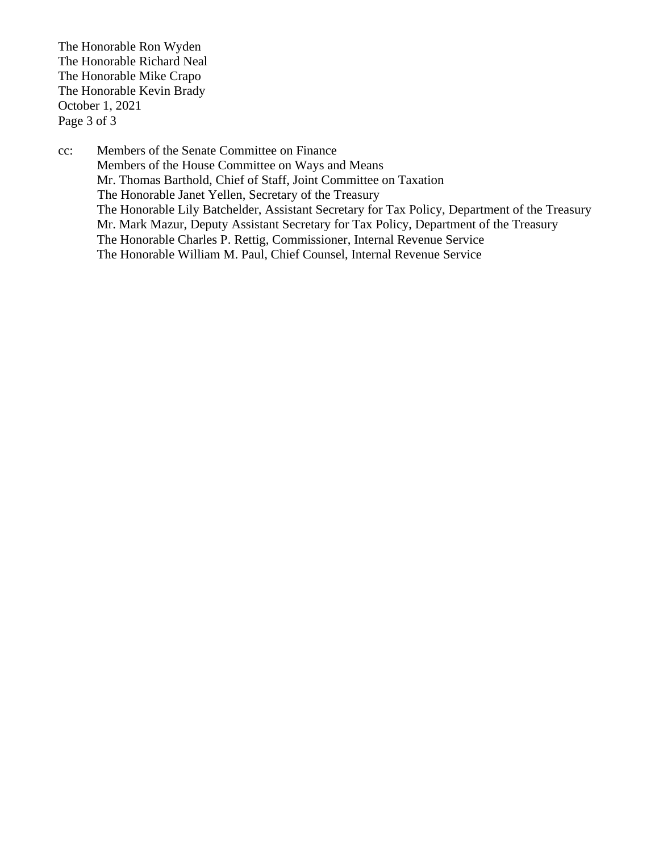The Honorable Ron Wyden The Honorable Richard Neal The Honorable Mike Crapo The Honorable Kevin Brady October 1, 2021 Page 3 of 3

cc: Members of the Senate Committee on Finance Members of the House Committee on Ways and Means Mr. Thomas Barthold, Chief of Staff, Joint Committee on Taxation The Honorable Janet Yellen, Secretary of the Treasury The Honorable Lily Batchelder, Assistant Secretary for Tax Policy, Department of the Treasury Mr. Mark Mazur, Deputy Assistant Secretary for Tax Policy, Department of the Treasury The Honorable Charles P. Rettig, Commissioner, Internal Revenue Service The Honorable William M. Paul, Chief Counsel, Internal Revenue Service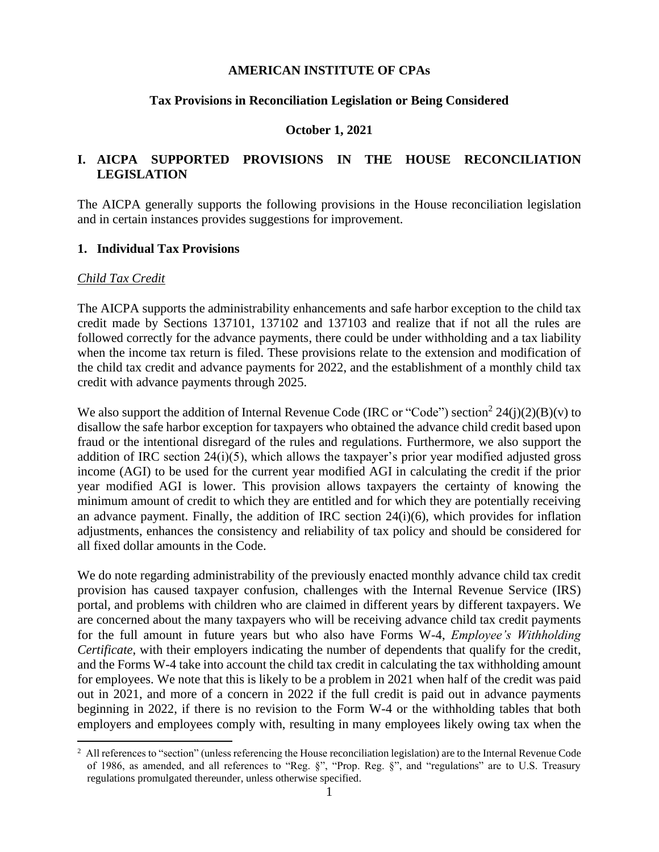#### **AMERICAN INSTITUTE OF CPAs**

#### **Tax Provisions in Reconciliation Legislation or Being Considered**

#### **October 1, 2021**

### **I. AICPA SUPPORTED PROVISIONS IN THE HOUSE RECONCILIATION LEGISLATION**

The AICPA generally supports the following provisions in the House reconciliation legislation and in certain instances provides suggestions for improvement.

#### **1. Individual Tax Provisions**

#### *Child Tax Credit*

The AICPA supports the administrability enhancements and safe harbor exception to the child tax credit made by Sections 137101, 137102 and 137103 and realize that if not all the rules are followed correctly for the advance payments, there could be under withholding and a tax liability when the income tax return is filed. These provisions relate to the extension and modification of the child tax credit and advance payments for 2022, and the establishment of a monthly child tax credit with advance payments through 2025.

We also support the addition of Internal Revenue Code (IRC or "Code") section<sup>2</sup> 24(j)(2)(B)(v) to disallow the safe harbor exception for taxpayers who obtained the advance child credit based upon fraud or the intentional disregard of the rules and regulations. Furthermore, we also support the addition of IRC section 24(i)(5), which allows the taxpayer's prior year modified adjusted gross income (AGI) to be used for the current year modified AGI in calculating the credit if the prior year modified AGI is lower. This provision allows taxpayers the certainty of knowing the minimum amount of credit to which they are entitled and for which they are potentially receiving an advance payment. Finally, the addition of IRC section 24(i)(6), which provides for inflation adjustments, enhances the consistency and reliability of tax policy and should be considered for all fixed dollar amounts in the Code.

We do note regarding administrability of the previously enacted monthly advance child tax credit provision has caused taxpayer confusion, challenges with the Internal Revenue Service (IRS) portal, and problems with children who are claimed in different years by different taxpayers. We are concerned about the many taxpayers who will be receiving advance child tax credit payments for the full amount in future years but who also have Forms W-4, *Employee's Withholding Certificate*, with their employers indicating the number of dependents that qualify for the credit, and the Forms W-4 take into account the child tax credit in calculating the tax withholding amount for employees. We note that this is likely to be a problem in 2021 when half of the credit was paid out in 2021, and more of a concern in 2022 if the full credit is paid out in advance payments beginning in 2022, if there is no revision to the Form W-4 or the withholding tables that both employers and employees comply with, resulting in many employees likely owing tax when the

 $<sup>2</sup>$  All references to "section" (unless referencing the House reconciliation legislation) are to the Internal Revenue Code</sup> of 1986, as amended, and all references to "Reg. §", "Prop. Reg. §", and "regulations" are to U.S. Treasury regulations promulgated thereunder, unless otherwise specified.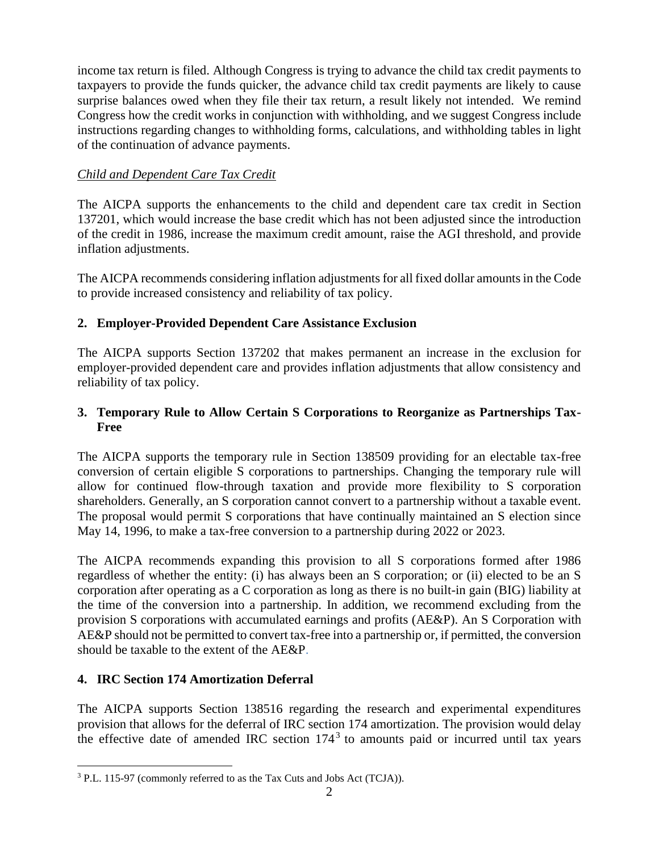income tax return is filed. Although Congress is trying to advance the child tax credit payments to taxpayers to provide the funds quicker, the advance child tax credit payments are likely to cause surprise balances owed when they file their tax return, a result likely not intended. We remind Congress how the credit works in conjunction with withholding, and we suggest Congress include instructions regarding changes to withholding forms, calculations, and withholding tables in light of the continuation of advance payments.

# *Child and Dependent Care Tax Credit*

The AICPA supports the enhancements to the child and dependent care tax credit in Section 137201, which would increase the base credit which has not been adjusted since the introduction of the credit in 1986, increase the maximum credit amount, raise the AGI threshold, and provide inflation adjustments.

The AICPA recommends considering inflation adjustments for all fixed dollar amounts in the Code to provide increased consistency and reliability of tax policy.

# **2. Employer-Provided Dependent Care Assistance Exclusion**

The AICPA supports Section 137202 that makes permanent an increase in the exclusion for employer-provided dependent care and provides inflation adjustments that allow consistency and reliability of tax policy.

# **3. Temporary Rule to Allow Certain S Corporations to Reorganize as Partnerships Tax-Free**

The AICPA supports the temporary rule in Section 138509 providing for an electable tax-free conversion of certain eligible S corporations to partnerships. Changing the temporary rule will allow for continued flow-through taxation and provide more flexibility to S corporation shareholders. Generally, an S corporation cannot convert to a partnership without a taxable event. The proposal would permit S corporations that have continually maintained an S election since May 14, 1996, to make a tax-free conversion to a partnership during 2022 or 2023.

The AICPA recommends expanding this provision to all S corporations formed after 1986 regardless of whether the entity: (i) has always been an S corporation; or (ii) elected to be an S corporation after operating as a C corporation as long as there is no built-in gain (BIG) liability at the time of the conversion into a partnership. In addition, we recommend excluding from the provision S corporations with accumulated earnings and profits (AE&P). An S Corporation with AE&P should not be permitted to convert tax-free into a partnership or, if permitted, the conversion should be taxable to the extent of the AE&P.

## **4. IRC Section 174 Amortization Deferral**

The AICPA supports Section 138516 regarding the research and experimental expenditures provision that allows for the deferral of IRC section 174 amortization. The provision would delay the effective date of amended IRC section  $174<sup>3</sup>$  to amounts paid or incurred until tax years

<sup>3</sup> P.L. 115-97 (commonly referred to as the Tax Cuts and Jobs Act (TCJA)).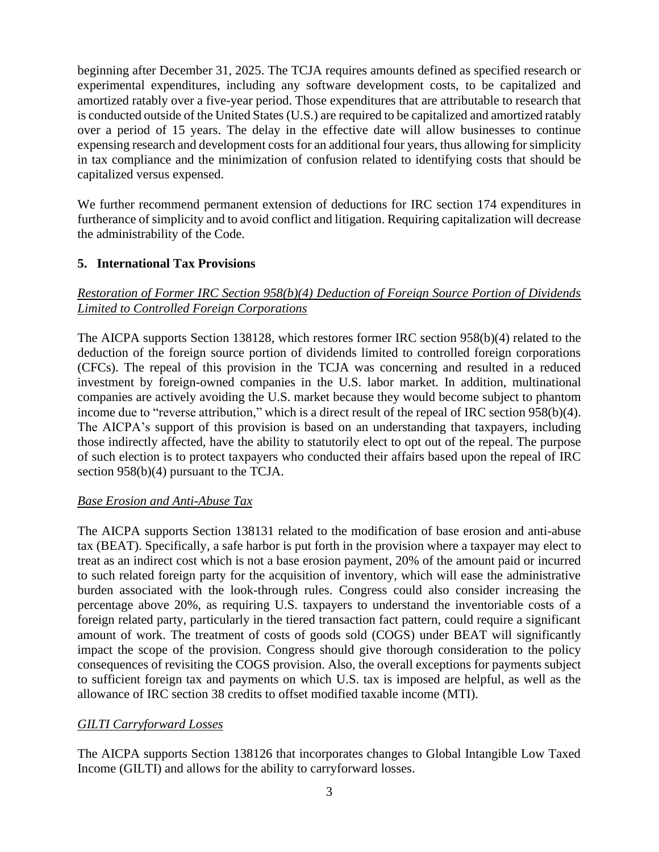beginning after December 31, 2025. The TCJA requires amounts defined as specified research or experimental expenditures, including any software development costs, to be capitalized and amortized ratably over a five-year period. Those expenditures that are attributable to research that is conducted outside of the United States (U.S.) are required to be capitalized and amortized ratably over a period of 15 years. The delay in the effective date will allow businesses to continue expensing research and development costs for an additional four years, thus allowing for simplicity in tax compliance and the minimization of confusion related to identifying costs that should be capitalized versus expensed.

We further recommend permanent extension of deductions for IRC section 174 expenditures in furtherance of simplicity and to avoid conflict and litigation. Requiring capitalization will decrease the administrability of the Code.

# **5. International Tax Provisions**

## *Restoration of Former IRC Section 958(b)(4) Deduction of Foreign Source Portion of Dividends Limited to Controlled Foreign Corporations*

The AICPA supports Section 138128, which restores former IRC section 958(b)(4) related to the deduction of the foreign source portion of dividends limited to controlled foreign corporations (CFCs). The repeal of this provision in the TCJA was concerning and resulted in a reduced investment by foreign-owned companies in the U.S. labor market. In addition, multinational companies are actively avoiding the U.S. market because they would become subject to phantom income due to "reverse attribution," which is a direct result of the repeal of IRC section 958(b)(4). The AICPA's support of this provision is based on an understanding that taxpayers, including those indirectly affected, have the ability to statutorily elect to opt out of the repeal. The purpose of such election is to protect taxpayers who conducted their affairs based upon the repeal of IRC section 958(b)(4) pursuant to the TCJA.

## *Base Erosion and Anti-Abuse Tax*

The AICPA supports Section 138131 related to the modification of base erosion and anti-abuse tax (BEAT). Specifically, a safe harbor is put forth in the provision where a taxpayer may elect to treat as an indirect cost which is not a base erosion payment, 20% of the amount paid or incurred to such related foreign party for the acquisition of inventory, which will ease the administrative burden associated with the look-through rules. Congress could also consider increasing the percentage above 20%, as requiring U.S. taxpayers to understand the inventoriable costs of a foreign related party, particularly in the tiered transaction fact pattern, could require a significant amount of work. The treatment of costs of goods sold (COGS) under BEAT will significantly impact the scope of the provision. Congress should give thorough consideration to the policy consequences of revisiting the COGS provision. Also, the overall exceptions for payments subject to sufficient foreign tax and payments on which U.S. tax is imposed are helpful, as well as the allowance of IRC section 38 credits to offset modified taxable income (MTI).

## *GILTI Carryforward Losses*

The AICPA supports Section 138126 that incorporates changes to Global Intangible Low Taxed Income (GILTI) and allows for the ability to carryforward losses.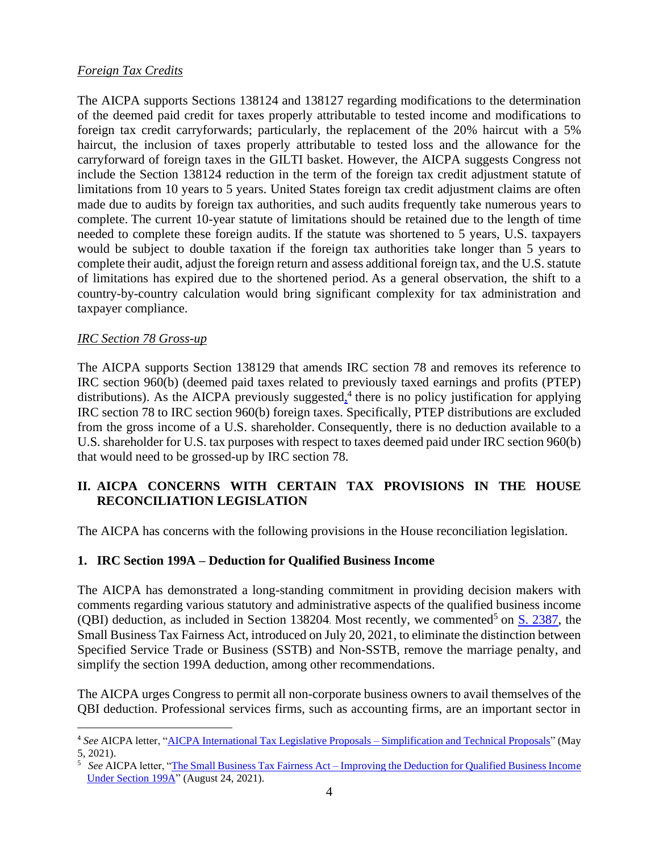#### *Foreign Tax Credits*

The AICPA supports Sections 138124 and 138127 regarding modifications to the determination of the deemed paid credit for taxes properly attributable to tested income and modifications to foreign tax credit carryforwards; particularly, the replacement of the 20% haircut with a 5% haircut, the inclusion of taxes properly attributable to tested loss and the allowance for the carryforward of foreign taxes in the GILTI basket. However, the AICPA suggests Congress not include the Section 138124 reduction in the term of the foreign tax credit adjustment statute of limitations from 10 years to 5 years. United States foreign tax credit adjustment claims are often made due to audits by foreign tax authorities, and such audits frequently take numerous years to complete. The current 10-year statute of limitations should be retained due to the length of time needed to complete these foreign audits. If the statute was shortened to 5 years, U.S. taxpayers would be subject to double taxation if the foreign tax authorities take longer than 5 years to complete their audit, adjust the foreign return and assess additional foreign tax, and the U.S. statute of limitations has expired due to the shortened period. As a general observation, the shift to a country-by-country calculation would bring significant complexity for tax administration and taxpayer compliance.

#### *IRC Section 78 Gross-up*

The AICPA supports Section 138129 that amends IRC section 78 and removes its reference to IRC section 960(b) (deemed paid taxes related to previously taxed earnings and profits (PTEP) distributions). As the AICPA previously suggested,<sup>4</sup> there is no policy justification for applying IRC section 78 to IRC section 960(b) foreign taxes. Specifically, PTEP distributions are excluded from the gross income of a U.S. shareholder. Consequently, there is no deduction available to a U.S. shareholder for U.S. tax purposes with respect to taxes deemed paid under IRC section 960(b) that would need to be grossed-up by IRC section 78.

# **II. AICPA CONCERNS WITH CERTAIN TAX PROVISIONS IN THE HOUSE RECONCILIATION LEGISLATION**

The AICPA has concerns with the following provisions in the House reconciliation legislation.

#### **1. IRC Section 199A – Deduction for Qualified Business Income**

The AICPA has demonstrated a long-standing commitment in providing decision makers with comments regarding various statutory and administrative aspects of the qualified business income (QBI) deduction, as included in Section 138204. Most recently, we commented<sup>5</sup> on  $\underline{S. 2387}$ , the Small Business Tax Fairness Act, introduced on July 20, 2021, to eliminate the distinction between Specified Service Trade or Business (SSTB) and Non-SSTB, remove the marriage penalty, and simplify the section 199A deduction, among other recommendations.

The AICPA urges Congress to permit all non-corporate business owners to avail themselves of the QBI deduction. Professional services firms, such as accounting firms, are an important sector in

<sup>4</sup> *See* AICPA letter, ["AICPA International Tax Legislative Proposals –](https://www.aicpa.org/advocacy/tax/downloadabledocuments/aicpa-international-tax-legislative-proposals-letter-5-5-21-final.pdf) Simplification and Technical Proposals" (May 5, 2021).

<sup>&</sup>lt;sup>5</sup> See AICPA letter, "The Small Business Tax Fairness Act – Improving the Deduction for Qualified Business Income [Under Section 199A"](https://www.aicpa.org/content/dam/aicpa/advocacy/tax/downloadabledocuments/aicpa-comment-letter-on-the-small-business-tax-fairness-act.pdf) (August 24, 2021).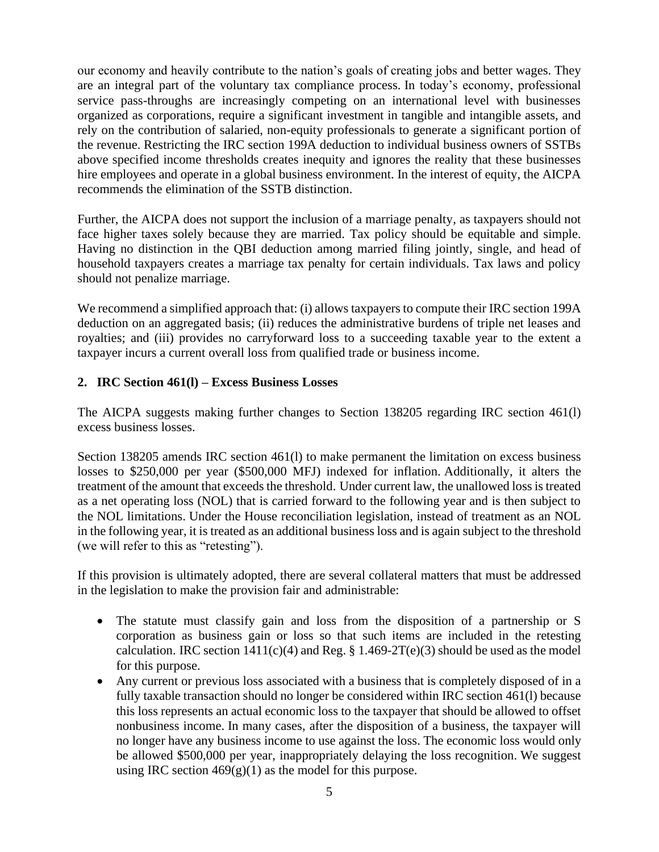our economy and heavily contribute to the nation's goals of creating jobs and better wages. They are an integral part of the voluntary tax compliance process. In today's economy, professional service pass-throughs are increasingly competing on an international level with businesses organized as corporations, require a significant investment in tangible and intangible assets, and rely on the contribution of salaried, non-equity professionals to generate a significant portion of the revenue. Restricting the IRC section 199A deduction to individual business owners of SSTBs above specified income thresholds creates inequity and ignores the reality that these businesses hire employees and operate in a global business environment. In the interest of equity, the AICPA recommends the elimination of the SSTB distinction.

Further, the AICPA does not support the inclusion of a marriage penalty, as taxpayers should not face higher taxes solely because they are married. Tax policy should be equitable and simple. Having no distinction in the QBI deduction among married filing jointly, single, and head of household taxpayers creates a marriage tax penalty for certain individuals. Tax laws and policy should not penalize marriage.

We recommend a simplified approach that: (i) allows taxpayers to compute their IRC section 199A deduction on an aggregated basis; (ii) reduces the administrative burdens of triple net leases and royalties; and (iii) provides no carryforward loss to a succeeding taxable year to the extent a taxpayer incurs a current overall loss from qualified trade or business income.

## **2. IRC Section 461(l) – Excess Business Losses**

The AICPA suggests making further changes to Section 138205 regarding IRC section 461(l) excess business losses.

Section 138205 amends IRC section 461(l) to make permanent the limitation on excess business losses to \$250,000 per year (\$500,000 MFJ) indexed for inflation. Additionally, it alters the treatment of the amount that exceeds the threshold. Under current law, the unallowed loss is treated as a net operating loss (NOL) that is carried forward to the following year and is then subject to the NOL limitations. Under the House reconciliation legislation, instead of treatment as an NOL in the following year, it is treated as an additional business loss and is again subject to the threshold (we will refer to this as "retesting").

If this provision is ultimately adopted, there are several collateral matters that must be addressed in the legislation to make the provision fair and administrable:

- The statute must classify gain and loss from the disposition of a partnership or S corporation as business gain or loss so that such items are included in the retesting calculation. IRC section  $1411(c)(4)$  and Reg. § 1.469-2T(e)(3) should be used as the model for this purpose.
- Any current or previous loss associated with a business that is completely disposed of in a fully taxable transaction should no longer be considered within IRC section 461(l) because this loss represents an actual economic loss to the taxpayer that should be allowed to offset nonbusiness income. In many cases, after the disposition of a business, the taxpayer will no longer have any business income to use against the loss. The economic loss would only be allowed \$500,000 per year, inappropriately delaying the loss recognition. We suggest using IRC section  $469(g)(1)$  as the model for this purpose.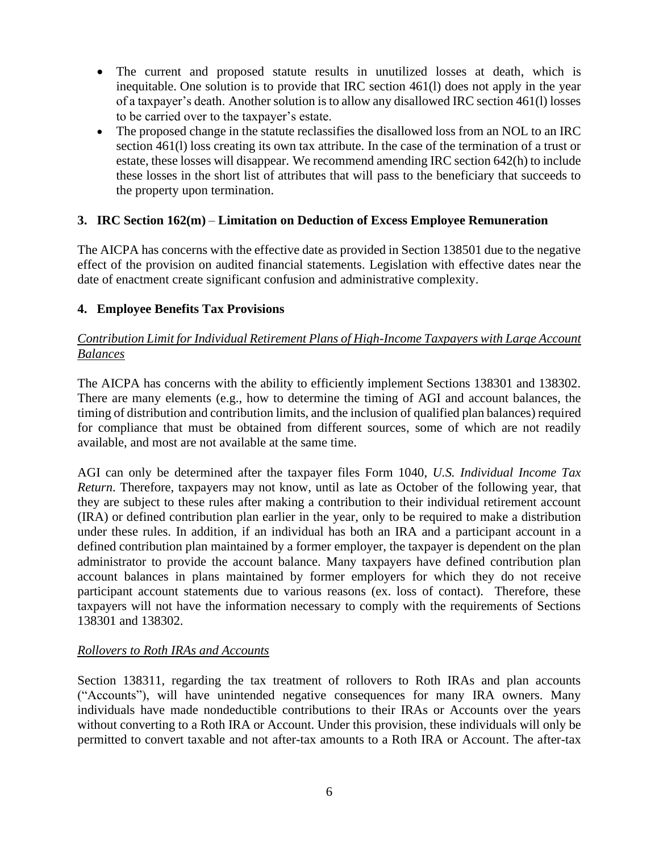- The current and proposed statute results in unutilized losses at death, which is inequitable. One solution is to provide that IRC section 461(l) does not apply in the year of a taxpayer's death. Another solution is to allow any disallowed IRC section 461(l) losses to be carried over to the taxpayer's estate.
- The proposed change in the statute reclassifies the disallowed loss from an NOL to an IRC section 461(l) loss creating its own tax attribute. In the case of the termination of a trust or estate, these losses will disappear. We recommend amending IRC section 642(h) to include these losses in the short list of attributes that will pass to the beneficiary that succeeds to the property upon termination.

## **3. IRC Section 162(m)** – **Limitation on Deduction of Excess Employee Remuneration**

The AICPA has concerns with the effective date as provided in Section 138501 due to the negative effect of the provision on audited financial statements. Legislation with effective dates near the date of enactment create significant confusion and administrative complexity.

#### **4. Employee Benefits Tax Provisions**

## *Contribution Limit for Individual Retirement Plans of High-Income Taxpayers with Large Account Balances*

The AICPA has concerns with the ability to efficiently implement Sections 138301 and 138302. There are many elements (e.g., how to determine the timing of AGI and account balances, the timing of distribution and contribution limits, and the inclusion of qualified plan balances) required for compliance that must be obtained from different sources, some of which are not readily available, and most are not available at the same time.

AGI can only be determined after the taxpayer files Form 1040, *U.S. Individual Income Tax Return*. Therefore, taxpayers may not know, until as late as October of the following year, that they are subject to these rules after making a contribution to their individual retirement account (IRA) or defined contribution plan earlier in the year, only to be required to make a distribution under these rules. In addition, if an individual has both an IRA and a participant account in a defined contribution plan maintained by a former employer, the taxpayer is dependent on the plan administrator to provide the account balance. Many taxpayers have defined contribution plan account balances in plans maintained by former employers for which they do not receive participant account statements due to various reasons (ex. loss of contact). Therefore, these taxpayers will not have the information necessary to comply with the requirements of Sections 138301 and 138302.

#### *Rollovers to Roth IRAs and Accounts*

Section 138311, regarding the tax treatment of rollovers to Roth IRAs and plan accounts ("Accounts"), will have unintended negative consequences for many IRA owners. Many individuals have made nondeductible contributions to their IRAs or Accounts over the years without converting to a Roth IRA or Account. Under this provision, these individuals will only be permitted to convert taxable and not after-tax amounts to a Roth IRA or Account. The after-tax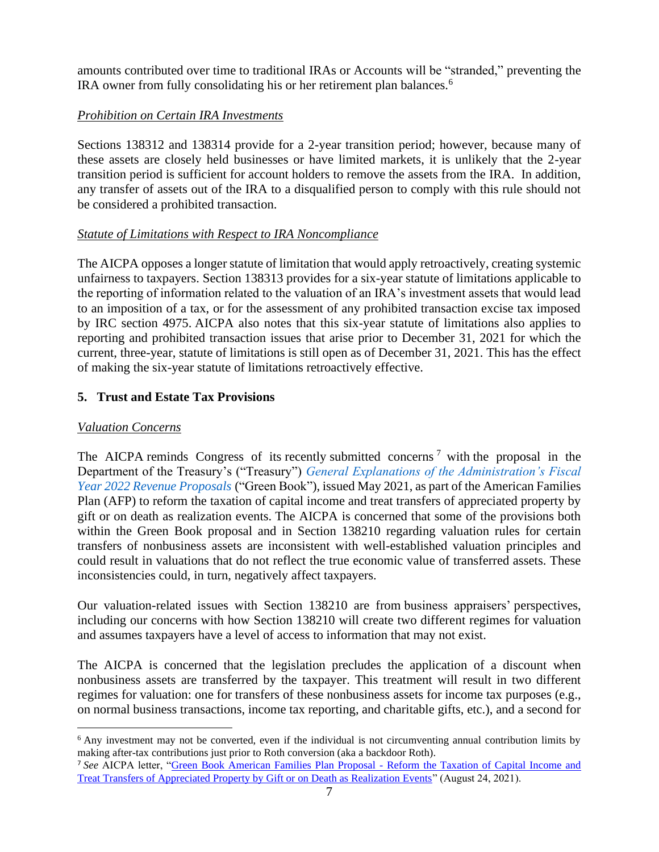amounts contributed over time to traditional IRAs or Accounts will be "stranded," preventing the IRA owner from fully consolidating his or her retirement plan balances.<sup>6</sup>

# *Prohibition on Certain IRA Investments*

Sections 138312 and 138314 provide for a 2-year transition period; however, because many of these assets are closely held businesses or have limited markets, it is unlikely that the 2-year transition period is sufficient for account holders to remove the assets from the IRA. In addition, any transfer of assets out of the IRA to a disqualified person to comply with this rule should not be considered a prohibited transaction.

## *Statute of Limitations with Respect to IRA Noncompliance*

The AICPA opposes a longer statute of limitation that would apply retroactively, creating systemic unfairness to taxpayers. Section 138313 provides for a six-year statute of limitations applicable to the reporting of information related to the valuation of an IRA's investment assets that would lead to an imposition of a tax, or for the assessment of any prohibited transaction excise tax imposed by IRC section 4975. AICPA also notes that this six-year statute of limitations also applies to reporting and prohibited transaction issues that arise prior to December 31, 2021 for which the current, three-year, statute of limitations is still open as of December 31, 2021. This has the effect of making the six-year statute of limitations retroactively effective.

# **5. Trust and Estate Tax Provisions**

## *Valuation Concerns*

The AICPA reminds Congress of its recently submitted concerns<sup>7</sup> with the proposal in the Department of the Treasury's ("Treasury") *[General Explanations of the Administration's Fiscal](https://home.treasury.gov/system/files/131/General-Explanations-FY2022.pdf)  [Year 2022 Revenue Proposals](https://home.treasury.gov/system/files/131/General-Explanations-FY2022.pdf)* ("Green Book"), issued May 2021, as part of the American Families Plan (AFP) to reform the taxation of capital income and treat transfers of appreciated property by gift or on death as realization events. The AICPA is concerned that some of the provisions both within the Green Book proposal and in Section 138210 regarding valuation rules for certain transfers of nonbusiness assets are inconsistent with well-established valuation principles and could result in valuations that do not reflect the true economic value of transferred assets. These inconsistencies could, in turn, negatively affect taxpayers.

Our valuation-related issues with Section 138210 are from business appraisers' perspectives, including our concerns with how Section 138210 will create two different regimes for valuation and assumes taxpayers have a level of access to information that may not exist.

The AICPA is concerned that the legislation precludes the application of a discount when nonbusiness assets are transferred by the taxpayer. This treatment will result in two different regimes for valuation: one for transfers of these nonbusiness assets for income tax purposes (e.g., on normal business transactions, income tax reporting, and charitable gifts, etc.), and a second for

<sup>&</sup>lt;sup>6</sup> Any investment may not be converted, even if the individual is not circumventing annual contribution limits by making after-tax contributions just prior to Roth conversion (aka a backdoor Roth).

<sup>7</sup> *See* AICPA letter, ["Green Book American Families Plan Proposal -](https://www.aicpa.org/content/dam/aicpa/advocacy/tax/downloadabledocuments/56175896-aicpa-letter-to-congress-on-fvs-appreciation-at-death-or-gift-submit82421.pdf) Reform the Taxation of Capital Income and [Treat Transfers of Appreciated Property by Gift or on Death as Realization Events"](https://www.aicpa.org/content/dam/aicpa/advocacy/tax/downloadabledocuments/56175896-aicpa-letter-to-congress-on-fvs-appreciation-at-death-or-gift-submit82421.pdf) (August 24, 2021).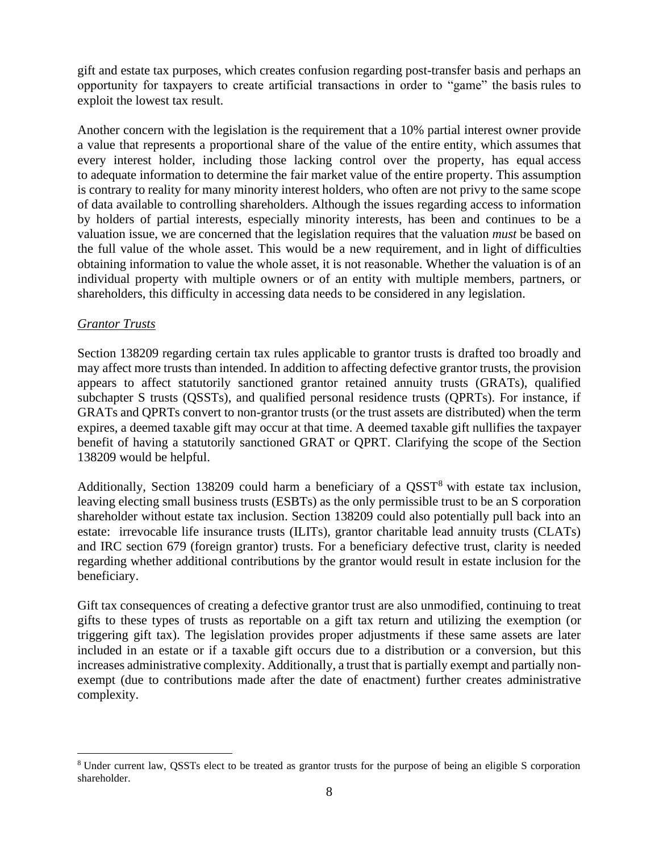gift and estate tax purposes, which creates confusion regarding post-transfer basis and perhaps an opportunity for taxpayers to create artificial transactions in order to "game" the basis rules to exploit the lowest tax result.

Another concern with the legislation is the requirement that a 10% partial interest owner provide a value that represents a proportional share of the value of the entire entity, which assumes that every interest holder, including those lacking control over the property, has equal access to adequate information to determine the fair market value of the entire property. This assumption is contrary to reality for many minority interest holders, who often are not privy to the same scope of data available to controlling shareholders. Although the issues regarding access to information by holders of partial interests, especially minority interests, has been and continues to be a valuation issue, we are concerned that the legislation requires that the valuation *must* be based on the full value of the whole asset. This would be a new requirement, and in light of difficulties obtaining information to value the whole asset, it is not reasonable. Whether the valuation is of an individual property with multiple owners or of an entity with multiple members, partners, or shareholders, this difficulty in accessing data needs to be considered in any legislation.

#### *Grantor Trusts*

Section 138209 regarding certain tax rules applicable to grantor trusts is drafted too broadly and may affect more trusts than intended. In addition to affecting defective grantor trusts, the provision appears to affect statutorily sanctioned grantor retained annuity trusts (GRATs), qualified subchapter S trusts (QSSTs), and qualified personal residence trusts (QPRTs). For instance, if GRATs and QPRTs convert to non-grantor trusts (or the trust assets are distributed) when the term expires, a deemed taxable gift may occur at that time. A deemed taxable gift nullifies the taxpayer benefit of having a statutorily sanctioned GRAT or QPRT. Clarifying the scope of the Section 138209 would be helpful.

Additionally, Section 138209 could harm a beneficiary of a  $QSST<sup>8</sup>$  with estate tax inclusion, leaving electing small business trusts (ESBTs) as the only permissible trust to be an S corporation shareholder without estate tax inclusion. Section 138209 could also potentially pull back into an estate: irrevocable life insurance trusts (ILITs), grantor charitable lead annuity trusts (CLATs) and IRC section 679 (foreign grantor) trusts. For a beneficiary defective trust, clarity is needed regarding whether additional contributions by the grantor would result in estate inclusion for the beneficiary.

Gift tax consequences of creating a defective grantor trust are also unmodified, continuing to treat gifts to these types of trusts as reportable on a gift tax return and utilizing the exemption (or triggering gift tax). The legislation provides proper adjustments if these same assets are later included in an estate or if a taxable gift occurs due to a distribution or a conversion, but this increases administrative complexity. Additionally, a trust that is partially exempt and partially nonexempt (due to contributions made after the date of enactment) further creates administrative complexity.

<sup>8</sup> Under current law, QSSTs elect to be treated as grantor trusts for the purpose of being an eligible S corporation shareholder.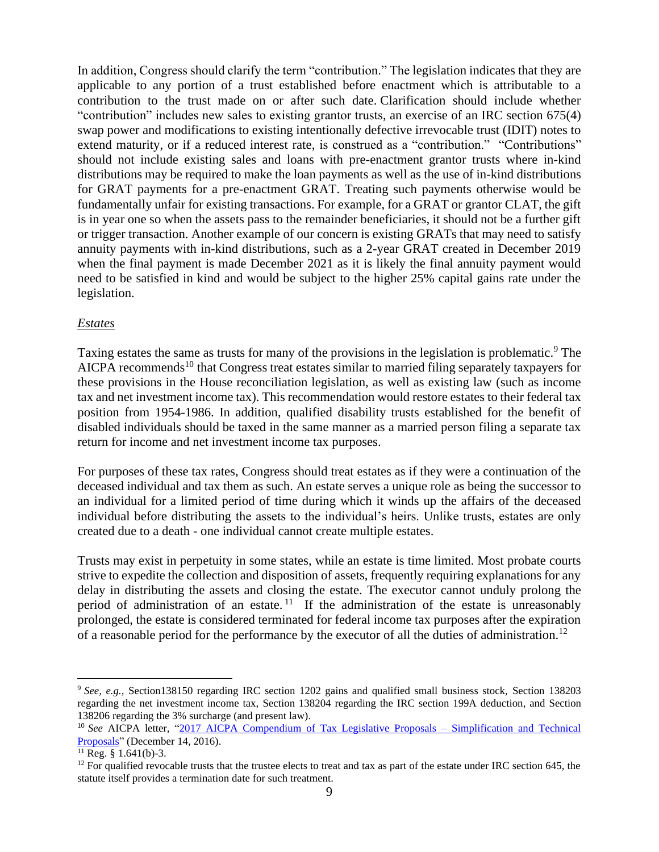In addition, Congress should clarify the term "contribution." The legislation indicates that they are applicable to any portion of a trust established before enactment which is attributable to a contribution to the trust made on or after such date. Clarification should include whether "contribution" includes new sales to existing grantor trusts, an exercise of an IRC section 675(4) swap power and modifications to existing intentionally defective irrevocable trust (IDIT) notes to extend maturity, or if a reduced interest rate, is construed as a "contribution." "Contributions" should not include existing sales and loans with pre-enactment grantor trusts where in-kind distributions may be required to make the loan payments as well as the use of in-kind distributions for GRAT payments for a pre-enactment GRAT. Treating such payments otherwise would be fundamentally unfair for existing transactions. For example, for a GRAT or grantor CLAT, the gift is in year one so when the assets pass to the remainder beneficiaries, it should not be a further gift or trigger transaction. Another example of our concern is existing GRATs that may need to satisfy annuity payments with in-kind distributions, such as a 2-year GRAT created in December 2019 when the final payment is made December 2021 as it is likely the final annuity payment would need to be satisfied in kind and would be subject to the higher 25% capital gains rate under the legislation.

#### *Estates*

Taxing estates the same as trusts for many of the provisions in the legislation is problematic.<sup>9</sup> The AICPA recommends<sup>10</sup> that Congress treat estates similar to married filing separately taxpayers for these provisions in the House reconciliation legislation, as well as existing law (such as income tax and net investment income tax). This recommendation would restore estates to their federal tax position from 1954-1986. In addition, qualified disability trusts established for the benefit of disabled individuals should be taxed in the same manner as a married person filing a separate tax return for income and net investment income tax purposes.

For purposes of these tax rates, Congress should treat estates as if they were a continuation of the deceased individual and tax them as such. An estate serves a unique role as being the successor to an individual for a limited period of time during which it winds up the affairs of the deceased individual before distributing the assets to the individual's heirs. Unlike trusts, estates are only created due to a death - one individual cannot create multiple estates.

Trusts may exist in perpetuity in some states, while an estate is time limited. Most probate courts strive to expedite the collection and disposition of assets, frequently requiring explanations for any delay in distributing the assets and closing the estate. The executor cannot unduly prolong the period of administration of an estate.<sup>11</sup> If the administration of the estate is unreasonably prolonged, the estate is considered terminated for federal income tax purposes after the expiration of a reasonable period for the performance by the executor of all the duties of administration.<sup>12</sup>

<sup>9</sup> *See, e.g.,* Section138150 regarding IRC section 1202 gains and qualified small business stock, Section 138203 regarding the net investment income tax, Section 138204 regarding the IRC section 199A deduction, and Section 138206 regarding the 3% surcharge (and present law).

<sup>&</sup>lt;sup>10</sup> See AICPA letter, ["2017 AICPA Compendium of Tax Legislative Proposals –](https://www.aicpa.org/content/dam/aicpa/advocacy/tax/downloadabledocuments/2017-aicpa-compendium-of-tax-legislative-proposals.pdf) Simplification and Technical [Proposals"](https://www.aicpa.org/content/dam/aicpa/advocacy/tax/downloadabledocuments/2017-aicpa-compendium-of-tax-legislative-proposals.pdf) (December 14, 2016).

 $\overline{^{11}$  Reg. § 1.641(b)-3.

 $12$  For qualified revocable trusts that the trustee elects to treat and tax as part of the estate under IRC section 645, the statute itself provides a termination date for such treatment.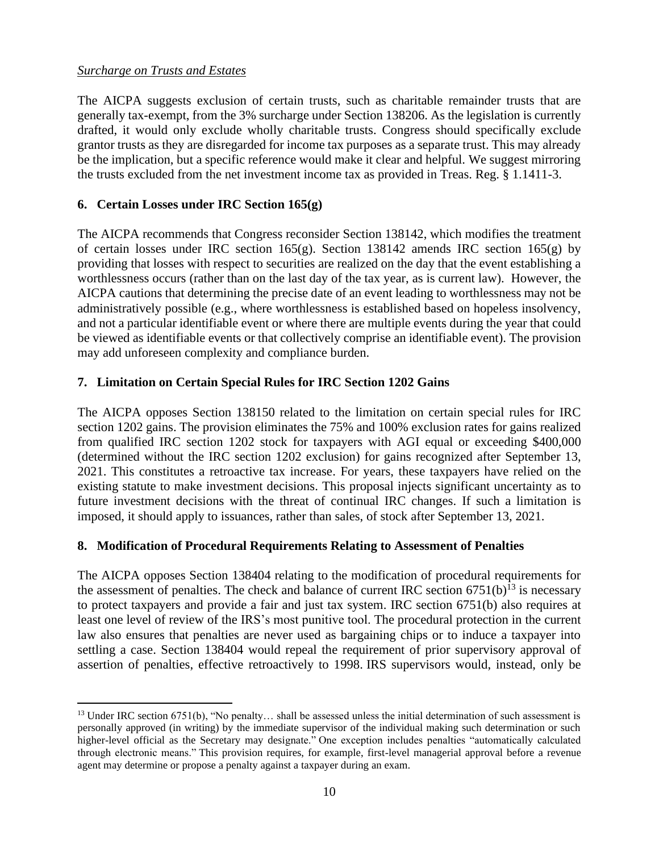#### *Surcharge on Trusts and Estates*

The AICPA suggests exclusion of certain trusts, such as charitable remainder trusts that are generally tax-exempt, from the 3% surcharge under Section 138206. As the legislation is currently drafted, it would only exclude wholly charitable trusts. Congress should specifically exclude grantor trusts as they are disregarded for income tax purposes as a separate trust. This may already be the implication, but a specific reference would make it clear and helpful. We suggest mirroring the trusts excluded from the net investment income tax as provided in Treas. Reg. § 1.1411-3.

## **6. Certain Losses under IRC Section 165(g)**

The AICPA recommends that Congress reconsider Section 138142, which modifies the treatment of certain losses under IRC section 165(g). Section 138142 amends IRC section 165(g) by providing that losses with respect to securities are realized on the day that the event establishing a worthlessness occurs (rather than on the last day of the tax year, as is current law). However, the AICPA cautions that determining the precise date of an event leading to worthlessness may not be administratively possible (e.g., where worthlessness is established based on hopeless insolvency, and not a particular identifiable event or where there are multiple events during the year that could be viewed as identifiable events or that collectively comprise an identifiable event). The provision may add unforeseen complexity and compliance burden.

## **7. Limitation on Certain Special Rules for IRC Section 1202 Gains**

The AICPA opposes Section 138150 related to the limitation on certain special rules for IRC section 1202 gains. The provision eliminates the 75% and 100% exclusion rates for gains realized from qualified IRC section 1202 stock for taxpayers with AGI equal or exceeding \$400,000 (determined without the IRC section 1202 exclusion) for gains recognized after September 13, 2021. This constitutes a retroactive tax increase. For years, these taxpayers have relied on the existing statute to make investment decisions. This proposal injects significant uncertainty as to future investment decisions with the threat of continual IRC changes. If such a limitation is imposed, it should apply to issuances, rather than sales, of stock after September 13, 2021.

## **8. Modification of Procedural Requirements Relating to Assessment of Penalties**

The AICPA opposes Section 138404 relating to the modification of procedural requirements for the assessment of penalties. The check and balance of current IRC section  $6751(b)^{13}$  is necessary to protect taxpayers and provide a fair and just tax system. IRC section 6751(b) also requires at least one level of review of the IRS's most punitive tool. The procedural protection in the current law also ensures that penalties are never used as bargaining chips or to induce a taxpayer into settling a case. Section 138404 would repeal the requirement of prior supervisory approval of assertion of penalties, effective retroactively to 1998. IRS supervisors would, instead, only be

 $13$  Under IRC section 6751(b), "No penalty... shall be assessed unless the initial determination of such assessment is personally approved (in writing) by the immediate supervisor of the individual making such determination or such higher-level official as the Secretary may designate." One exception includes penalties "automatically calculated through electronic means." This provision requires, for example, first-level managerial approval before a revenue agent may determine or propose a penalty against a taxpayer during an exam.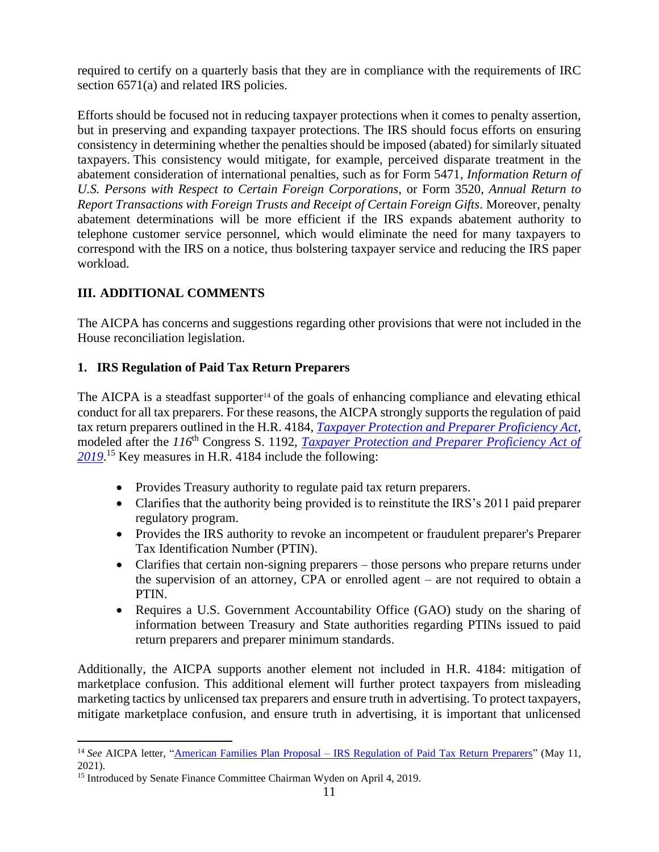required to certify on a quarterly basis that they are in compliance with the requirements of IRC section 6571(a) and related IRS policies.

Efforts should be focused not in reducing taxpayer protections when it comes to penalty assertion, but in preserving and expanding taxpayer protections. The IRS should focus efforts on ensuring consistency in determining whether the penalties should be imposed (abated) for similarly situated taxpayers. This consistency would mitigate, for example, perceived disparate treatment in the abatement consideration of international penalties, such as for Form 5471, *Information Return of U.S. Persons with Respect to Certain Foreign Corporations*, or Form 3520, *Annual Return to Report Transactions with Foreign Trusts and Receipt of Certain Foreign Gifts*. Moreover, penalty abatement determinations will be more efficient if the IRS expands abatement authority to telephone customer service personnel, which would eliminate the need for many taxpayers to correspond with the IRS on a notice, thus bolstering taxpayer service and reducing the IRS paper workload.

# **III. ADDITIONAL COMMENTS**

The AICPA has concerns and suggestions regarding other provisions that were not included in the House reconciliation legislation.

# **1. IRS Regulation of Paid Tax Return Preparers**

The AICPA is a steadfast supporter<sup>14</sup> of the goals of enhancing compliance and elevating ethical conduct for all tax preparers. For these reasons, the AICPA strongly supports the regulation of paid tax return preparers outlined in the H.R. 4184, *[Taxpayer Protection and Preparer Proficiency Act](https://www.govtrack.us/congress/bills/117/hr4184)*, modeled after the *116*th Congress S. 1192, *[Taxpayer Protection and Preparer Proficiency Act of](https://www.congress.gov/116/bills/s1192/BILLS-116s1192is.pdf)  [2019](https://www.congress.gov/116/bills/s1192/BILLS-116s1192is.pdf)*. <sup>15</sup> Key measures in H.R. 4184 include the following:

- Provides Treasury authority to regulate paid tax return preparers.
- Clarifies that the authority being provided is to reinstitute the IRS's 2011 paid preparer regulatory program.
- Provides the IRS authority to revoke an incompetent or fraudulent preparer's Preparer Tax Identification Number (PTIN).
- Clarifies that certain non-signing preparers those persons who prepare returns under the supervision of an attorney, CPA or enrolled agent – are not required to obtain a PTIN.
- Requires a U.S. Government Accountability Office (GAO) study on the sharing of information between Treasury and State authorities regarding PTINs issued to paid return preparers and preparer minimum standards.

Additionally, the AICPA supports another element not included in H.R. 4184: mitigation of marketplace confusion. This additional element will further protect taxpayers from misleading marketing tactics by unlicensed tax preparers and ensure truth in advertising. To protect taxpayers, mitigate marketplace confusion, and ensure truth in advertising, it is important that unlicensed

<sup>14</sup> *See* AICPA letter, "American Families Plan Proposal – [IRS Regulation of Paid Tax Return Preparers"](https://www.aicpa.org/content/dam/aicpa/advocacy/tax/downloadabledocuments/aicpa-preparer-regulations-letter-to-congress.pdf) (May 11, 2021).

<sup>&</sup>lt;sup>15</sup> Introduced by Senate Finance Committee Chairman Wyden on April 4, 2019.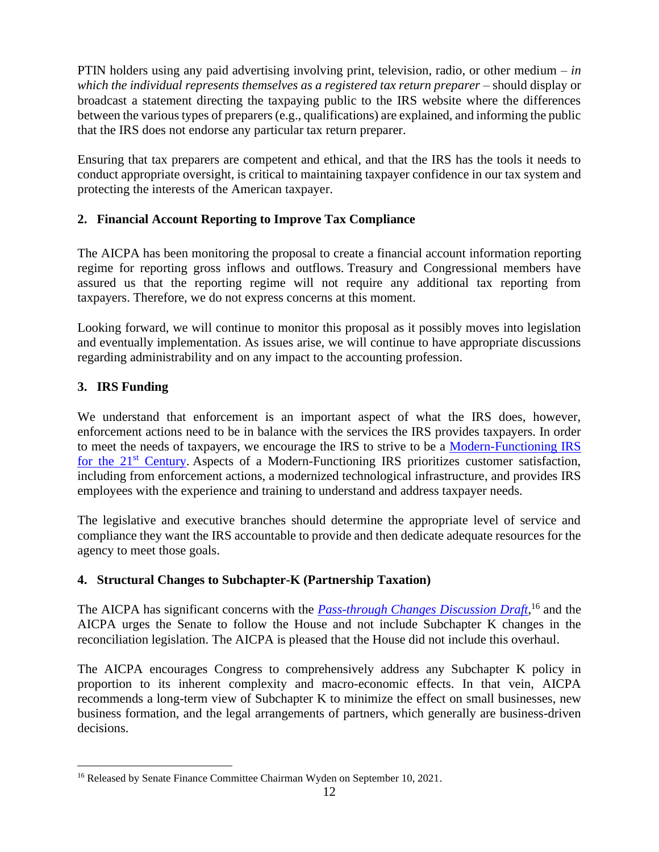PTIN holders using any paid advertising involving print, television, radio, or other medium – *in which the individual represents themselves as a registered tax return preparer* – should display or broadcast a statement directing the taxpaying public to the IRS website where the differences between the various types of preparers (e.g., qualifications) are explained, and informing the public that the IRS does not endorse any particular tax return preparer.

Ensuring that tax preparers are competent and ethical, and that the IRS has the tools it needs to conduct appropriate oversight, is critical to maintaining taxpayer confidence in our tax system and protecting the interests of the American taxpayer.

# **2. Financial Account Reporting to Improve Tax Compliance**

The AICPA has been monitoring the proposal to create a financial account information reporting regime for reporting gross inflows and outflows. Treasury and Congressional members have assured us that the reporting regime will not require any additional tax reporting from taxpayers. Therefore, we do not express concerns at this moment.

Looking forward, we will continue to monitor this proposal as it possibly moves into legislation and eventually implementation. As issues arise, we will continue to have appropriate discussions regarding administrability and on any impact to the accounting profession.

# **3. IRS Funding**

We understand that enforcement is an important aspect of what the IRS does, however, enforcement actions need to be in balance with the services the IRS provides taxpayers. In order to meet the needs of taxpayers, we encourage the IRS to strive to be a [Modern-Functioning IRS](https://www.aicpa.org/content/dam/aicpa/advocacy/tax/downloadabledocuments/irs-service-improvement-practitioner-report.pdf)  for the  $21<sup>st</sup>$  Century. Aspects of a Modern-Functioning IRS prioritizes customer satisfaction, including from enforcement actions, a modernized technological infrastructure, and provides IRS employees with the experience and training to understand and address taxpayer needs.

The legislative and executive branches should determine the appropriate level of service and compliance they want the IRS accountable to provide and then dedicate adequate resources for the agency to meet those goals.

## **4. Structural Changes to Subchapter-K (Partnership Taxation)**

The AICPA has significant concerns with the *[Pass-through Changes Discussion Draft](https://www.finance.senate.gov/imo/media/doc/Wyden%20Pass-through%20Reform%20Section%20by%20Section.pdf)*, <sup>16</sup> and the AICPA urges the Senate to follow the House and not include Subchapter K changes in the reconciliation legislation. The AICPA is pleased that the House did not include this overhaul.

The AICPA encourages Congress to comprehensively address any Subchapter K policy in proportion to its inherent complexity and macro-economic effects. In that vein, AICPA recommends a long-term view of Subchapter K to minimize the effect on small businesses, new business formation, and the legal arrangements of partners, which generally are business-driven decisions.

<sup>&</sup>lt;sup>16</sup> Released by Senate Finance Committee Chairman Wyden on September 10, 2021.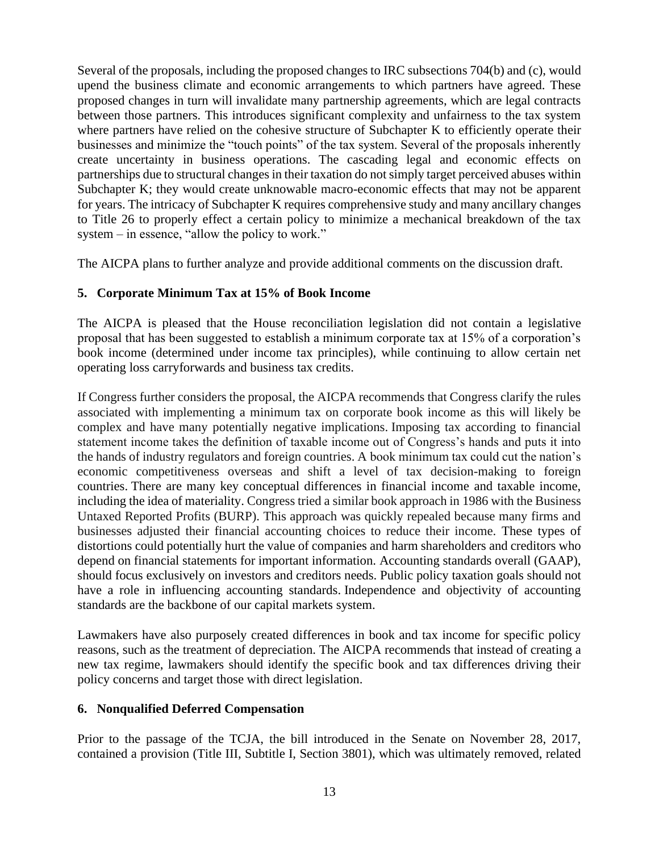Several of the proposals, including the proposed changes to IRC subsections 704(b) and (c), would upend the business climate and economic arrangements to which partners have agreed. These proposed changes in turn will invalidate many partnership agreements, which are legal contracts between those partners. This introduces significant complexity and unfairness to the tax system where partners have relied on the cohesive structure of Subchapter K to efficiently operate their businesses and minimize the "touch points" of the tax system. Several of the proposals inherently create uncertainty in business operations. The cascading legal and economic effects on partnerships due to structural changes in their taxation do not simply target perceived abuses within Subchapter K; they would create unknowable macro-economic effects that may not be apparent for years. The intricacy of Subchapter K requires comprehensive study and many ancillary changes to Title 26 to properly effect a certain policy to minimize a mechanical breakdown of the tax system – in essence, "allow the policy to work."

The AICPA plans to further analyze and provide additional comments on the discussion draft.

## **5. Corporate Minimum Tax at 15% of Book Income**

The AICPA is pleased that the House reconciliation legislation did not contain a legislative proposal that has been suggested to establish a minimum corporate tax at 15% of a corporation's book income (determined under income tax principles), while continuing to allow certain net operating loss carryforwards and business tax credits.

If Congress further considers the proposal, the AICPA recommends that Congress clarify the rules associated with implementing a minimum tax on corporate book income as this will likely be complex and have many potentially negative implications. Imposing tax according to financial statement income takes the definition of taxable income out of Congress's hands and puts it into the hands of industry regulators and foreign countries. A book minimum tax could cut the nation's economic competitiveness overseas and shift a level of tax decision-making to foreign countries. There are many key conceptual differences in financial income and taxable income, including the idea of materiality. Congress tried a similar book approach in 1986 with the Business Untaxed Reported Profits (BURP). This approach was quickly repealed because many firms and businesses adjusted their financial accounting choices to reduce their income. These types of distortions could potentially hurt the value of companies and harm shareholders and creditors who depend on financial statements for important information. Accounting standards overall (GAAP), should focus exclusively on investors and creditors needs. Public policy taxation goals should not have a role in influencing accounting standards. Independence and objectivity of accounting standards are the backbone of our capital markets system.

Lawmakers have also purposely created differences in book and tax income for specific policy reasons, such as the treatment of depreciation. The AICPA recommends that instead of creating a new tax regime, lawmakers should identify the specific book and tax differences driving their policy concerns and target those with direct legislation.

#### **6. Nonqualified Deferred Compensation**

Prior to the passage of the TCJA, the bill introduced in the Senate on November 28, 2017, contained a provision (Title III, Subtitle I, Section 3801), which was ultimately removed, related